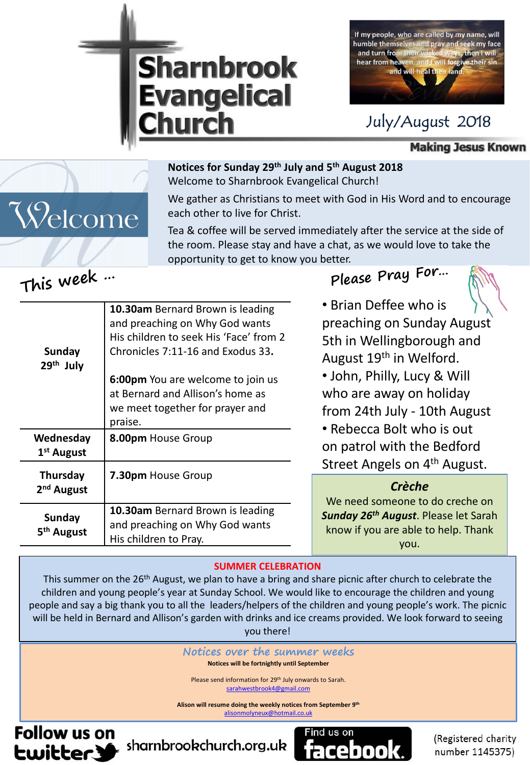



## July/August 2018

**Making Jesus Known** 

#### **Notices for Sunday 29th July and 5th August 2018**

Welcome to Sharnbrook Evangelical Church!

We gather as Christians to meet with God in His Word and to encourage each other to live for Christ.

Tea & coffee will be served immediately after the service at the side of the room. Please stay and have a chat, as we would love to take the opportunity to get to know you better.

# **This week …**

Welcome

|                                     | 10.30am Bernard Brown is leading<br>and preaching on Why God wants |
|-------------------------------------|--------------------------------------------------------------------|
|                                     | His children to seek His 'Face' from 2                             |
| Sunday<br>29 <sup>th</sup> July     | Chronicles 7:11-16 and Exodus 33.                                  |
|                                     | 6:00pm You are welcome to join us                                  |
|                                     | at Bernard and Allison's home as                                   |
|                                     | we meet together for prayer and                                    |
|                                     | praise.                                                            |
| Wednesday<br>1 <sup>st</sup> August | 8.00pm House Group                                                 |
| Thursday<br>2 <sup>nd</sup> August  | 7.30pm House Group                                                 |
| Sunday<br>5 <sup>th</sup> August    | 10.30am Bernard Brown is leading                                   |
|                                     | and preaching on Why God wants                                     |
|                                     | His children to Pray.                                              |
|                                     |                                                                    |

**Please Pray For…**

• Brian Deffee who is preaching on Sunday August 5th in Wellingborough and August 19<sup>th</sup> in Welford. • John, Philly, Lucy & Will who are away on holiday from 24th July - 10th August • Rebecca Bolt who is out on patrol with the Bedford Street Angels on 4<sup>th</sup> August.

#### *Crèche*

We need someone to do creche on *Sunday 26th August*. Please let Sarah know if you are able to help. Thank you.

#### **SUMMER CELEBRATION**

This summer on the 26<sup>th</sup> August, we plan to have a bring and share picnic after church to celebrate the children and young people's year at Sunday School. We would like to encourage the children and young people and say a big thank you to all the leaders/helpers of the children and young people's work. The picnic will be held in Bernard and Allison's garden with drinks and ice creams provided. We look forward to seeing you there!

> **Notices over the summer weeks Notices will be fortnightly until September**

Please send information for 29<sup>th</sup> July onwards to Sarah. [sarahwestbrook4@gmail.com](mailto:sarahwestbrook4@gmail.com)

**Alison will resume doing the weekly notices from September 9th** [alisonmolyneux@hotmail.co.uk](mailto:alisonmolyneux@hotmail.co.uk)

**Follow us on Ewitter.3** 



(Registered charity number 1145375)